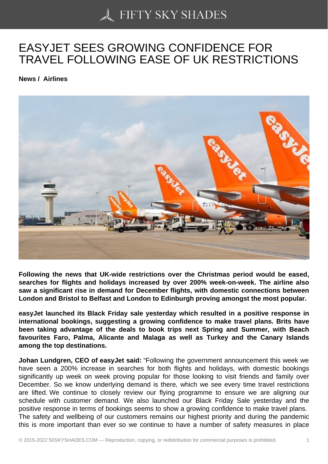## [EASYJET SEES GROW](https://50skyshades.com)ING CONFIDENCE FOR TRAVEL FOLLOWING EASE OF UK RESTRICTIONS

News / Airlines

Following the news that UK-wide restrictions over the Christmas period would be eased, searches for flights and holidays increased by over 200% week-on-week. The airline also saw a significant rise in demand for December flights, with domestic connections between London and Bristol to Belfast and London to Edinburgh proving amongst the most popular.

easyJet launched its Black Friday sale yesterday which resulted in a positive response in international bookings, suggesting a growing confidence to make travel plans. Brits have been taking advantage of the deals to book trips next Spring and Summer, with Beach favourites Faro, Palma, Alicante and Malaga as well as Turkey and the Canary Islands among the top destinations.

Johan Lundgren, CEO of easyJet said: "Following the government announcement this week we have seen a 200% increase in searches for both flights and holidays, with domestic bookings significantly up week on week proving popular for those looking to visit friends and family over December. So we know underlying demand is there, which we see every time travel restrictions are lifted. We continue to closely review our flying programme to ensure we are aligning our schedule with customer demand. We also launched our Black Friday Sale yesterday and the positive response in terms of bookings seems to show a growing confidence to make travel plans. The safety and wellbeing of our customers remains our highest priority and during the pandemic this is more important than ever so we continue to have a number of safety measures in place